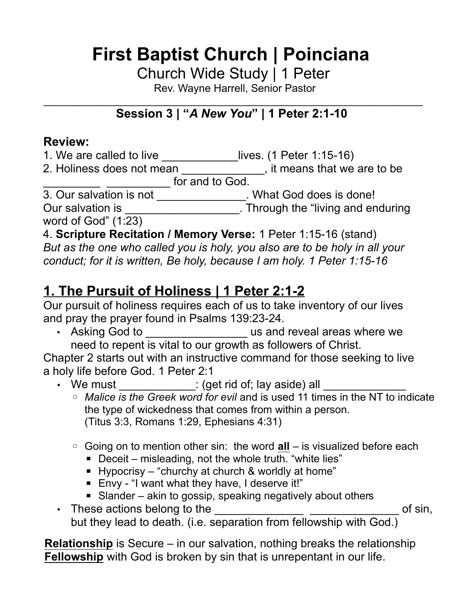Church Wide Study | 1 Peter

Rev. Wayne Harrell, Senior Pastor

#### $\mathcal{L}_\text{max}$  , and the contract of the contract of the contract of the contract of the contract of the contract of the contract of the contract of the contract of the contract of the contract of the contract of the contr **Session 3 | "***A New You***" | 1 Peter 2:1-10**

### **Review:**

1. We are called to live \_\_\_\_\_\_\_\_\_\_\_\_lives. (1 Peter 1:15-16)

2. Holiness does not mean \_\_\_\_\_\_\_\_\_\_\_\_\_, it means that we are to be **offer and to God.** 

3. Our salvation is not \_\_\_\_\_\_\_\_\_\_\_\_\_\_. What God does is done!

Our salvation is \_\_\_\_\_\_\_\_\_\_\_\_\_\_\_\_\_\_\_\_\_. Through the "living and enduring

word of God" (1:23)

4. **Scripture Recitation / Memory Verse:** 1 Peter 1:15-16 (stand)

*But as the one who called you is holy, you also are to be holy in all your conduct; for it is written, Be holy, because I am holy. 1 Peter 1:15-16*

## **1. The Pursuit of Holiness | 1 Peter 2:1-2**

Our pursuit of holiness requires each of us to take inventory of our lives and pray the prayer found in Psalms 139:23-24.

• Asking God to \_\_\_\_\_\_\_\_\_\_\_\_\_\_\_\_\_\_\_\_\_ us and reveal areas where we need to repent is vital to our growth as followers of Christ.

Chapter 2 starts out with an instructive command for those seeking to live a holy life before God. 1 Peter 2:1

• We must \_\_\_\_\_\_\_\_\_\_\_\_\_: (get rid of; lay aside) all \_\_\_\_\_\_\_

◦ *Malice is the Greek word for evil* and is used 11 times in the NT to indicate the type of wickedness that comes from within a person. (Titus 3:3, Romans 1:29, Ephesians 4:31)

- Going on to mention other sin: the word **all** is visualized before each
	- Deceit misleading, not the whole truth. "white lies"
	- **E** Hypocrisy "churchy at church & worldly at home"
	- Envy "I want what they have, I deserve it!"
	-
- Slander akin to gossip, speaking negatively about others • These actions belong to the  $\qquad \qquad \qquad$ but they lead to death. (i.e. separation from fellowship with God.)

**Relationship** is Secure – in our salvation, nothing breaks the relationship **Fellowship** with God is broken by sin that is unrepentant in our life.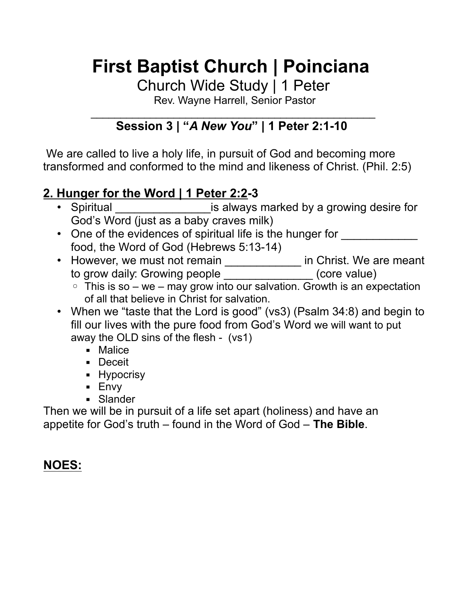Church Wide Study | 1 Peter

Rev. Wayne Harrell, Senior Pastor

#### $\mathcal{L}_\text{max}$  , and the contract of the contract of the contract of the contract of the contract of the contract of the contract of the contract of the contract of the contract of the contract of the contract of the contr **Session 3 | "***A New You***" | 1 Peter 2:1-10**

We are called to live a holy life, in pursuit of God and becoming more transformed and conformed to the mind and likeness of Christ. (Phil. 2:5)

### **2. Hunger for the Word | 1 Peter 2:2-3**

- Spiritual **•** Spiritual **Example 20** is always marked by a growing desire for God's Word (just as a baby craves milk)
- One of the evidences of spiritual life is the hunger for food, the Word of God (Hebrews 5:13-14)
- However, we must not remain **example 20 in Christ.** We are meant to grow daily: Growing people  $(core value)$ 
	- $\circ$  This is so we may grow into our salvation. Growth is an expectation of all that believe in Christ for salvation.
- When we "taste that the Lord is good" (vs3) (Psalm 34:8) and begin to fill our lives with the pure food from God's Word we will want to put away the OLD sins of the flesh - (vs1)
	- Malice
	- Deceit
	- **E** Hypocrisy
	- Envy
	- **•** Slander

Then we will be in pursuit of a life set apart (holiness) and have an appetite for God's truth – found in the Word of God – **The Bible**.

## **NOES:**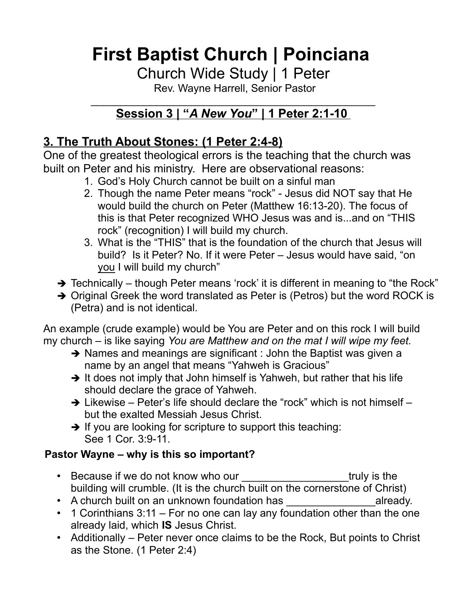Church Wide Study | 1 Peter

Rev. Wayne Harrell, Senior Pastor

#### $\mathcal{L}_\text{max}$  , and the contract of the contract of the contract of the contract of the contract of the contract of the contract of the contract of the contract of the contract of the contract of the contract of the contr **Session 3 | "** *A New You* **" | 1 Peter 2:1-10**

## **3. The Truth About Stones: (1 Peter 2:4-8)**

One of the greatest theological errors is the teaching that the church was built on Peter and his ministry. Here are observational reasons:

- 1. God's Holy Church cannot be built on a sinful man
- 2. Though the name Peter means "rock" Jesus did NOT say that He would build the church on Peter (Matthew 16:13-20). The focus of this is that Peter recognized WHO Jesus was and is...and on "THIS rock" (recognition) I will build my church.
- 3. What is the "THIS" that is the foundation of the church that Jesus will build? Is it Peter? No. If it were Peter – Jesus would have said, "on you I will build my church"
- $\rightarrow$  Technically though Peter means 'rock' it is different in meaning to "the Rock"
- ➔ Original Greek the word translated as Peter is (Petros) but the word ROCK is (Petra) and is not identical.

An example (crude example) would be You are Peter and on this rock I will build my church – is like saying *You are Matthew and on the mat I will wipe my feet.* 

- $\rightarrow$  Names and meanings are significant : John the Baptist was given a name by an angel that means "Yahweh is Gracious"
- → It does not imply that John himself is Yahweh, but rather that his life should declare the grace of Yahweh.
- $\rightarrow$  Likewise Peter's life should declare the "rock" which is not himself but the exalted Messiah Jesus Christ.
- → If you are looking for scripture to support this teaching: See 1 Cor. 3:9-11.

### **Pastor Wayne – why is this so important?**

- Because if we do not know who our truly is the building will crumble. (It is the church built on the cornerstone of Christ)
- A church built on an unknown foundation has  $\blacksquare$  already.
- 1 Corinthians 3:11 For no one can lay any foundation other than the one already laid, which **IS** Jesus Christ.
- Additionally Peter never once claims to be the Rock, But points to Christ as the Stone. (1 Peter 2:4)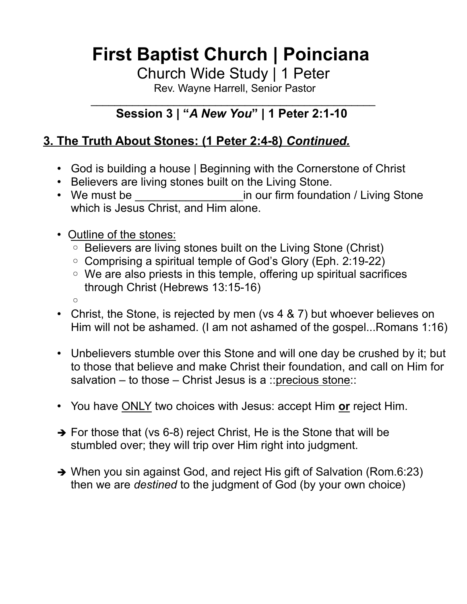Church Wide Study | 1 Peter

Rev. Wayne Harrell, Senior Pastor

#### $\mathcal{L}_\text{max}$  , and the contract of the contract of the contract of the contract of the contract of the contract of the contract of the contract of the contract of the contract of the contract of the contract of the contr **Session 3 | "***A New You***" | 1 Peter 2:1-10**

## **3. The Truth About Stones: (1 Peter 2:4-8)** *Continued.*

- God is building a house | Beginning with the Cornerstone of Christ
- Believers are living stones built on the Living Stone.
- We must be **Example 20** in our firm foundation / Living Stone which is Jesus Christ, and Him alone.
- Outline of the stones:
	- Believers are living stones built on the Living Stone (Christ)
	- Comprising a spiritual temple of God's Glory (Eph. 2:19-22)
	- We are also priests in this temple, offering up spiritual sacrifices through Christ (Hebrews 13:15-16)
	- $\circ$
- Christ, the Stone, is rejected by men (vs 4 & 7) but whoever believes on Him will not be ashamed. (I am not ashamed of the gospel...Romans 1:16)
- Unbelievers stumble over this Stone and will one day be crushed by it; but to those that believe and make Christ their foundation, and call on Him for salvation – to those – Christ Jesus is a ::precious stone::
- You have ONLY two choices with Jesus: accept Him **or** reject Him.
- $\rightarrow$  For those that (vs 6-8) reject Christ, He is the Stone that will be stumbled over; they will trip over Him right into judgment.
- ➔ When you sin against God, and reject His gift of Salvation (Rom.6:23) then we are *destined* to the judgment of God (by your own choice)